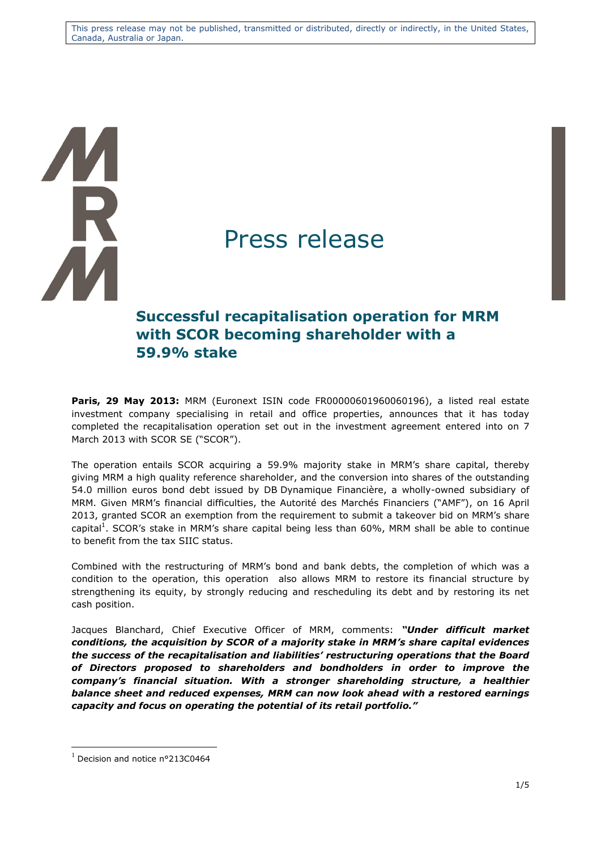This press release may not be published, transmitted or distributed, directly or indirectly, in the United States, Canada, Australia or Japan.

# Ŕ

# Press release

## **Successful recapitalisation operation for MRM with SCOR becoming shareholder with a 59.9% stake**

**Paris, 29 May 2013:** MRM (Euronext ISIN code FR00000601960060196), a listed real estate investment company specialising in retail and office properties, announces that it has today completed the recapitalisation operation set out in the investment agreement entered into on 7 March 2013 with SCOR SE ("SCOR").

The operation entails SCOR acquiring a 59.9% majority stake in MRM's share capital, thereby giving MRM a high quality reference shareholder, and the conversion into shares of the outstanding 54.0 million euros bond debt issued by DB Dynamique Financière, a wholly-owned subsidiary of MRM. Given MRM's financial difficulties, the Autorité des Marchés Financiers ("AMF"), on 16 April 2013, granted SCOR an exemption from the requirement to submit a takeover bid on MRM's share capital<sup>1</sup>. SCOR's stake in MRM's share capital being less than 60%, MRM shall be able to continue to benefit from the tax SIIC status.

Combined with the restructuring of MRM's bond and bank debts, the completion of which was a condition to the operation, this operation also allows MRM to restore its financial structure by strengthening its equity, by strongly reducing and rescheduling its debt and by restoring its net cash position.

Jacques Blanchard, Chief Executive Officer of MRM, comments: *"Under difficult market conditions, the acquisition by SCOR of a majority stake in MRM's share capital evidences the success of the recapitalisation and liabilities' restructuring operations that the Board of Directors proposed to shareholders and bondholders in order to improve the company's financial situation. With a stronger shareholding structure, a healthier balance sheet and reduced expenses, MRM can now look ahead with a restored earnings capacity and focus on operating the potential of its retail portfolio."*

 $\overline{a}$ 

 $1$  Decision and notice n°213C0464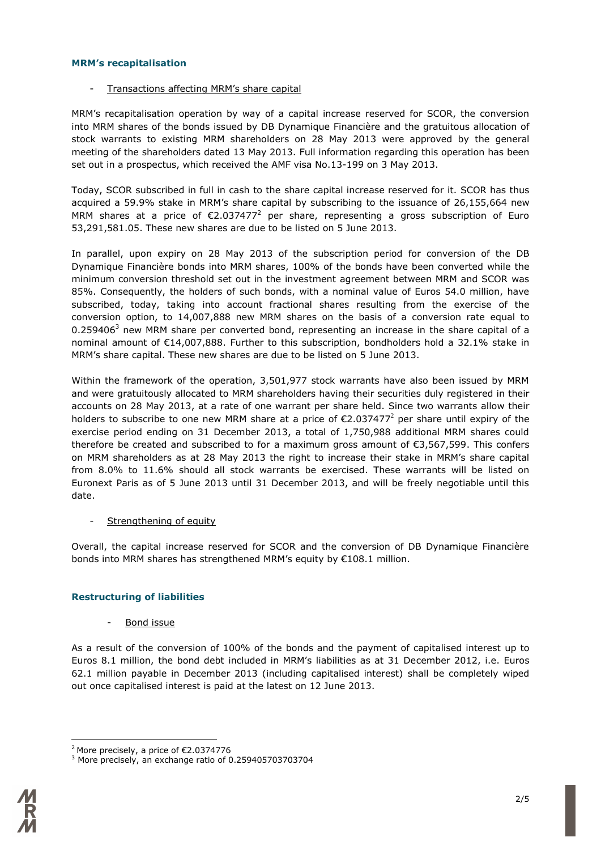### **MRM's recapitalisation**

Transactions affecting MRM's share capital

MRM's recapitalisation operation by way of a capital increase reserved for SCOR, the conversion into MRM shares of the bonds issued by DB Dynamique Financière and the gratuitous allocation of stock warrants to existing MRM shareholders on 28 May 2013 were approved by the general meeting of the shareholders dated 13 May 2013. Full information regarding this operation has been set out in a prospectus, which received the AMF visa No.13-199 on 3 May 2013.

Today, SCOR subscribed in full in cash to the share capital increase reserved for it. SCOR has thus acquired a 59.9% stake in MRM's share capital by subscribing to the issuance of 26,155,664 new MRM shares at a price of  $\epsilon$ 2.037477<sup>2</sup> per share, representing a gross subscription of Euro 53,291,581.05. These new shares are due to be listed on 5 June 2013.

In parallel, upon expiry on 28 May 2013 of the subscription period for conversion of the DB Dynamique Financière bonds into MRM shares, 100% of the bonds have been converted while the minimum conversion threshold set out in the investment agreement between MRM and SCOR was 85%. Consequently, the holders of such bonds, with a nominal value of Euros 54.0 million, have subscribed, today, taking into account fractional shares resulting from the exercise of the conversion option, to 14,007,888 new MRM shares on the basis of a conversion rate equal to 0.259406<sup>3</sup> new MRM share per converted bond, representing an increase in the share capital of a nominal amount of €14,007,888. Further to this subscription, bondholders hold a 32.1% stake in MRM's share capital. These new shares are due to be listed on 5 June 2013.

Within the framework of the operation, 3,501,977 stock warrants have also been issued by MRM and were gratuitously allocated to MRM shareholders having their securities duly registered in their accounts on 28 May 2013, at a rate of one warrant per share held. Since two warrants allow their holders to subscribe to one new MRM share at a price of  $\epsilon$ 2.037477<sup>2</sup> per share until expiry of the exercise period ending on 31 December 2013, a total of 1,750,988 additional MRM shares could therefore be created and subscribed to for a maximum gross amount of  $\epsilon$ 3,567,599. This confers on MRM shareholders as at 28 May 2013 the right to increase their stake in MRM's share capital from 8.0% to 11.6% should all stock warrants be exercised. These warrants will be listed on Euronext Paris as of 5 June 2013 until 31 December 2013, and will be freely negotiable until this date.

### Strengthening of equity

Overall, the capital increase reserved for SCOR and the conversion of DB Dynamique Financière bonds into MRM shares has strengthened MRM's equity by €108.1 million.

### **Restructuring of liabilities**

Bond issue

As a result of the conversion of 100% of the bonds and the payment of capitalised interest up to Euros 8.1 million, the bond debt included in MRM's liabilities as at 31 December 2012, i.e. Euros 62.1 million payable in December 2013 (including capitalised interest) shall be completely wiped out once capitalised interest is paid at the latest on 12 June 2013.

 $\overline{a}$ <sup>2</sup> More precisely, a price of €2.0374776

<sup>&</sup>lt;sup>3</sup> More precisely, an exchange ratio of 0.259405703703704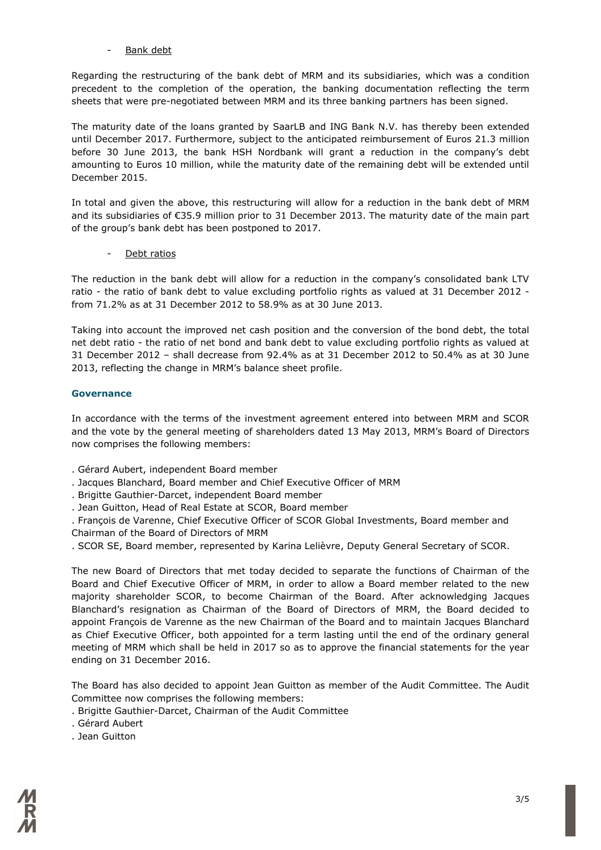### Bank debt

Regarding the restructuring of the bank debt of MRM and its subsidiaries, which was a condition precedent to the completion of the operation, the banking documentation reflecting the term sheets that were pre-negotiated between MRM and its three banking partners has been signed.

The maturity date of the loans granted by SaarLB and ING Bank N.V. has thereby been extended until December 2017. Furthermore, subject to the anticipated reimbursement of Euros 21.3 million before 30 June 2013, the bank HSH Nordbank will grant a reduction in the company's debt amounting to Euros 10 million, while the maturity date of the remaining debt will be extended until December 2015.

In total and given the above, this restructuring will allow for a reduction in the bank debt of MRM and its subsidiaries of €35.9 million prior to 31 December 2013. The maturity date of the main part of the group's bank debt has been postponed to 2017.

Debt ratios

The reduction in the bank debt will allow for a reduction in the company's consolidated bank LTV ratio - the ratio of bank debt to value excluding portfolio rights as valued at 31 December 2012 from 71.2% as at 31 December 2012 to 58.9% as at 30 June 2013.

Taking into account the improved net cash position and the conversion of the bond debt, the total net debt ratio - the ratio of net bond and bank debt to value excluding portfolio rights as valued at 31 December 2012 – shall decrease from 92.4% as at 31 December 2012 to 50.4% as at 30 June 2013, reflecting the change in MRM's balance sheet profile.

### **Governance**

In accordance with the terms of the investment agreement entered into between MRM and SCOR and the vote by the general meeting of shareholders dated 13 May 2013, MRM's Board of Directors now comprises the following members:

- . Gérard Aubert, independent Board member
- . Jacques Blanchard, Board member and Chief Executive Officer of MRM
- . Brigitte Gauthier-Darcet, independent Board member
- . Jean Guitton, Head of Real Estate at SCOR, Board member

. François de Varenne, Chief Executive Officer of SCOR Global Investments, Board member and Chairman of the Board of Directors of MRM

. SCOR SE, Board member, represented by Karina Lelièvre, Deputy General Secretary of SCOR.

The new Board of Directors that met today decided to separate the functions of Chairman of the Board and Chief Executive Officer of MRM, in order to allow a Board member related to the new majority shareholder SCOR, to become Chairman of the Board. After acknowledging Jacques Blanchard's resignation as Chairman of the Board of Directors of MRM, the Board decided to appoint François de Varenne as the new Chairman of the Board and to maintain Jacques Blanchard as Chief Executive Officer, both appointed for a term lasting until the end of the ordinary general meeting of MRM which shall be held in 2017 so as to approve the financial statements for the year ending on 31 December 2016.

The Board has also decided to appoint Jean Guitton as member of the Audit Committee. The Audit Committee now comprises the following members:

. Brigitte Gauthier-Darcet, Chairman of the Audit Committee

. Gérard Aubert

. Jean Guitton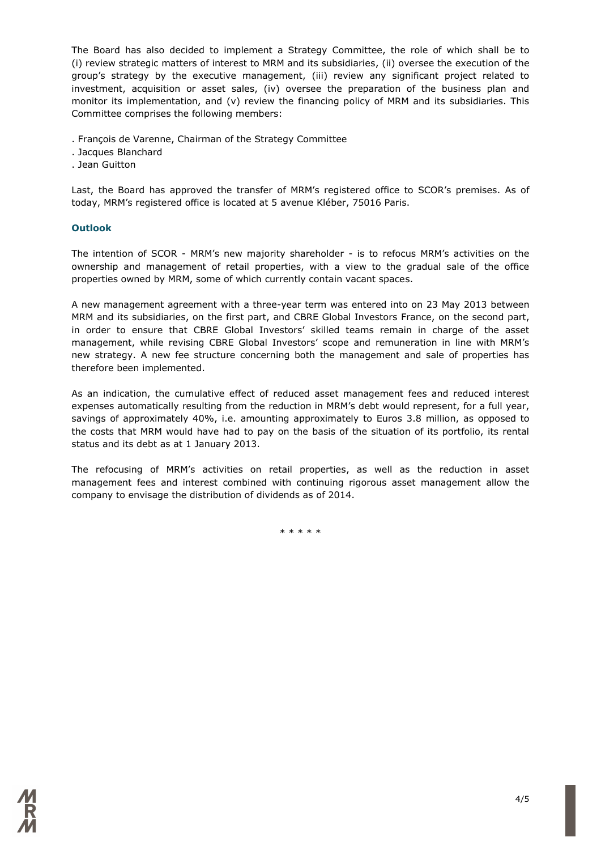The Board has also decided to implement a Strategy Committee, the role of which shall be to (i) review strategic matters of interest to MRM and its subsidiaries, (ii) oversee the execution of the group's strategy by the executive management, (iii) review any significant project related to investment, acquisition or asset sales, (iv) oversee the preparation of the business plan and monitor its implementation, and (v) review the financing policy of MRM and its subsidiaries. This Committee comprises the following members:

. François de Varenne, Chairman of the Strategy Committee

. Jacques Blanchard

. Jean Guitton

Last, the Board has approved the transfer of MRM's registered office to SCOR's premises. As of today, MRM's registered office is located at 5 avenue Kléber, 75016 Paris.

### **Outlook**

The intention of SCOR - MRM's new majority shareholder - is to refocus MRM's activities on the ownership and management of retail properties, with a view to the gradual sale of the office properties owned by MRM, some of which currently contain vacant spaces.

A new management agreement with a three-year term was entered into on 23 May 2013 between MRM and its subsidiaries, on the first part, and CBRE Global Investors France, on the second part, in order to ensure that CBRE Global Investors' skilled teams remain in charge of the asset management, while revising CBRE Global Investors' scope and remuneration in line with MRM's new strategy. A new fee structure concerning both the management and sale of properties has therefore been implemented.

As an indication, the cumulative effect of reduced asset management fees and reduced interest expenses automatically resulting from the reduction in MRM's debt would represent, for a full year, savings of approximately 40%, i.e. amounting approximately to Euros 3.8 million, as opposed to the costs that MRM would have had to pay on the basis of the situation of its portfolio, its rental status and its debt as at 1 January 2013.

The refocusing of MRM's activities on retail properties, as well as the reduction in asset management fees and interest combined with continuing rigorous asset management allow the company to envisage the distribution of dividends as of 2014.

\* \* \* \* \*